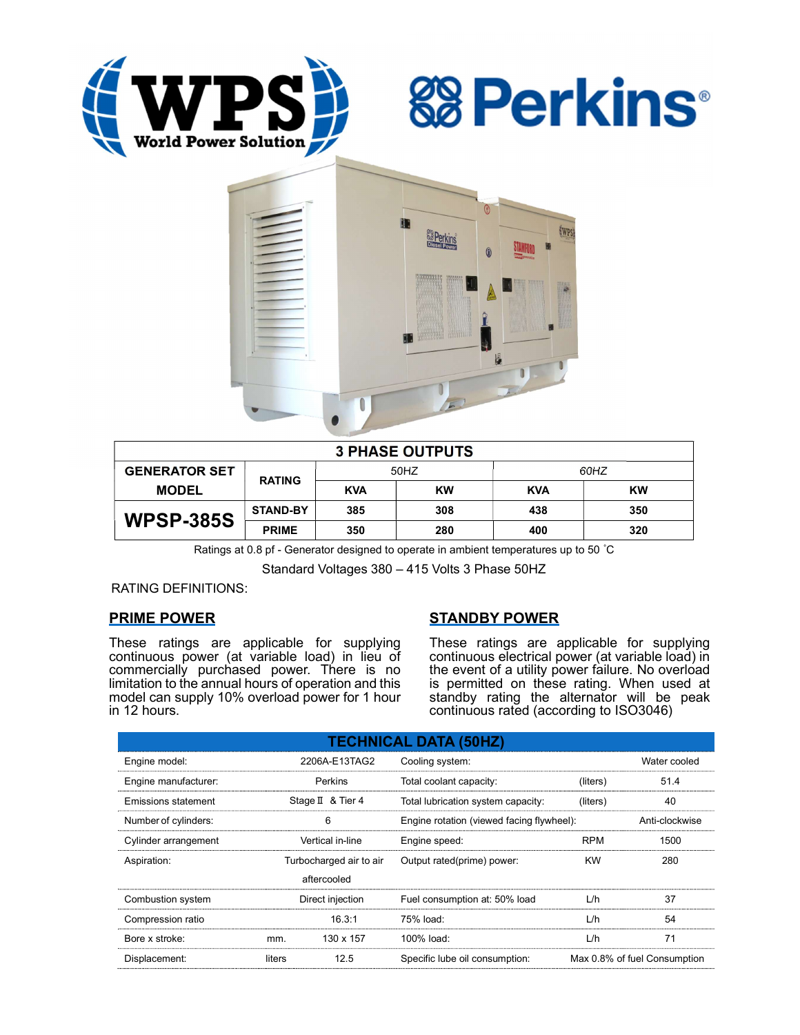





| <b>3 PHASE OUTPUTS</b> |                 |            |           |            |     |  |
|------------------------|-----------------|------------|-----------|------------|-----|--|
| <b>GENERATOR SET</b>   | <b>RATING</b>   | 50HZ       |           | 60HZ       |     |  |
| <b>MODEL</b>           |                 | <b>KVA</b> | <b>KW</b> | <b>KVA</b> | KW  |  |
| <b>WPSP-385S</b>       | <b>STAND-BY</b> | 385        | 308       | 438        | 350 |  |
|                        | <b>PRIME</b>    | 350        | 280       | 400        | 320 |  |

Ratings at 0.8 pf - Generator designed to operate in ambient temperatures up to 50 °C

Standard Voltages 380 – 415 Volts 3 Phase 50HZ

RATING DEFINITIONS:

## PRIME POWER

These ratings are applicable for supplying continuous power (at variable load) in lieu of commercially purchased power. There is no limitation to the annual hours of operation and this model can supply 10% overload power for 1 hour in 12 hours.

## STANDBY POWER

These ratings are applicable for supplying continuous electrical power (at variable load) in the event of a utility power failure. No overload is permitted on these rating. When used at standby rating the alternator will be peak continuous rated (according to ISO3046)

| <b>TECHNICAL DATA (50HZ)</b> |                         |             |                                           |            |                              |  |
|------------------------------|-------------------------|-------------|-------------------------------------------|------------|------------------------------|--|
| Engine model:                | 2206A-E13TAG2           |             | Cooling system:                           |            | Water cooled                 |  |
| Engine manufacturer:         | Perkins                 |             | Total coolant capacity:                   | (liters)   | 51.4                         |  |
| Emissions statement          | Stage II & Tier 4       |             | Total lubrication system capacity:        | (liters)   | 40                           |  |
| Number of cylinders:         | 6                       |             | Engine rotation (viewed facing flywheel): |            | Anti-clockwise               |  |
| Cylinder arrangement         | Vertical in-line        |             | Engine speed:                             | <b>RPM</b> | 1500                         |  |
| Aspiration:                  | Turbocharged air to air |             | Output rated(prime) power:                | <b>KW</b>  | 280                          |  |
|                              |                         | aftercooled |                                           |            |                              |  |
| Combustion system            | Direct injection        |             | Fuel consumption at: 50% load             | L/h        | 37                           |  |
| Compression ratio            |                         | 16.3:1      | 75% load:                                 | L/h        | 54                           |  |
| Bore x stroke:               | mm.                     | 130 x 157   | 100% load:                                | L/h        | 71                           |  |
| Displacement:                | liters                  | 12.5        | Specific lube oil consumption:            |            | Max 0.8% of fuel Consumption |  |